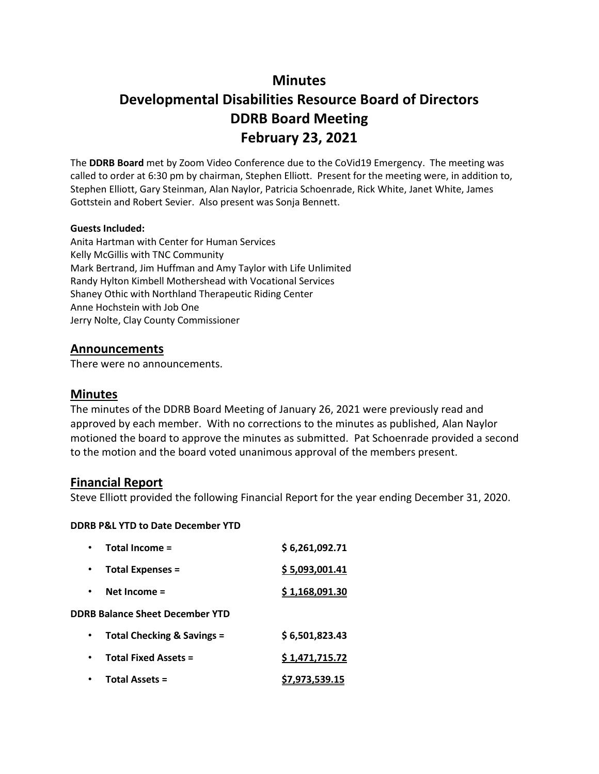# **Minutes**

# **Developmental Disabilities Resource Board of Directors DDRB Board Meeting February 23, 2021**

The **DDRB Board** met by Zoom Video Conference due to the CoVid19 Emergency. The meeting was called to order at 6:30 pm by chairman, Stephen Elliott. Present for the meeting were, in addition to, Stephen Elliott, Gary Steinman, Alan Naylor, Patricia Schoenrade, Rick White, Janet White, James Gottstein and Robert Sevier. Also present was Sonja Bennett.

#### **Guests Included:**

Anita Hartman with Center for Human Services Kelly McGillis with TNC Community Mark Bertrand, Jim Huffman and Amy Taylor with Life Unlimited Randy Hylton Kimbell Mothershead with Vocational Services Shaney Othic with Northland Therapeutic Riding Center Anne Hochstein with Job One Jerry Nolte, Clay County Commissioner

#### **Announcements**

There were no announcements.

### **Minutes**

The minutes of the DDRB Board Meeting of January 26, 2021 were previously read and approved by each member. With no corrections to the minutes as published, Alan Naylor motioned the board to approve the minutes as submitted. Pat Schoenrade provided a second to the motion and the board voted unanimous approval of the members present.

#### **Financial Report**

Steve Elliott provided the following Financial Report for the year ending December 31, 2020.

#### **DDRB P&L YTD to Date December YTD**

|           | Total Income =                         | \$6,261,092.71 |
|-----------|----------------------------------------|----------------|
|           | <b>Total Expenses =</b>                | \$5,093,001.41 |
| $\bullet$ | Net Income $=$                         | \$1,168,091.30 |
|           | <b>DDRB Balance Sheet December YTD</b> |                |
| $\bullet$ | Total Checking & Savings =             | \$6,501,823.43 |
|           | <b>Total Fixed Assets =</b>            | \$1,471,715.72 |
|           | <b>Total Assets =</b>                  | \$7,973,539.15 |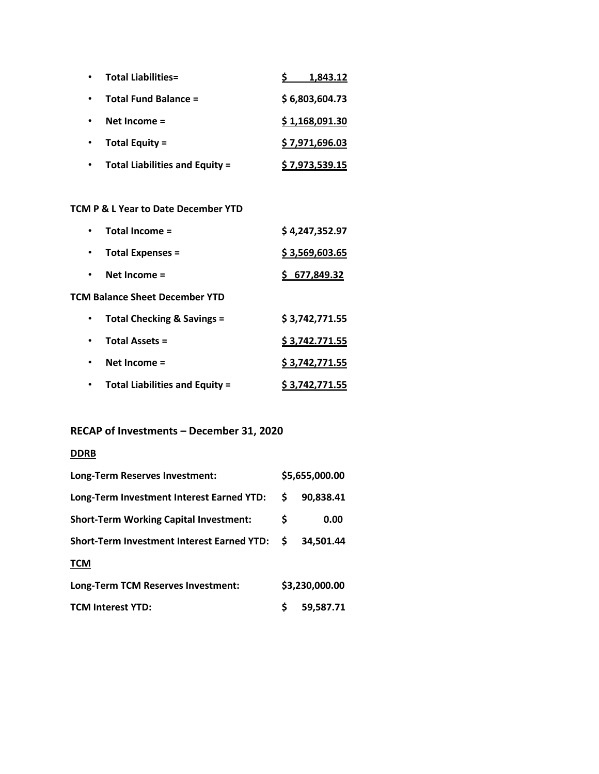| <b>Total Liabilities=</b>             | 1,843.12              |
|---------------------------------------|-----------------------|
| <b>Total Fund Balance =</b>           | \$6,803,604.73        |
| Net Income $=$                        | \$1,168,091.30        |
| Total Equity =                        | \$7,971,696.03        |
| <b>Total Liabilities and Equity =</b> | <u>\$7,973,539.15</u> |

#### **TCM P & L Year to Date December YTD**

|           | Total Income =                        | \$4,247,352.97        |
|-----------|---------------------------------------|-----------------------|
|           | <b>Total Expenses =</b>               | \$3,569,603.65        |
| $\bullet$ | Net Income $=$                        | \$677,849.32          |
|           | <b>TCM Balance Sheet December YTD</b> |                       |
| $\bullet$ | Total Checking & Savings =            | \$3,742,771.55        |
| $\bullet$ | <b>Total Assets =</b>                 | \$3,742.771.55        |
| $\bullet$ | Net Income =                          | \$3,742,771.55        |
|           | <b>Total Liabilities and Equity =</b> | <u>\$3,742,771.55</u> |

### **RECAP of Investments – December 31, 2020**

### **DDRB**

| Long-Term Reserves Investment:                | \$5,655,000.00 |                |  |  |
|-----------------------------------------------|----------------|----------------|--|--|
| Long-Term Investment Interest Earned YTD:     | S              | 90,838.41      |  |  |
| <b>Short-Term Working Capital Investment:</b> | S              | 0.00           |  |  |
| Short-Term Investment Interest Earned YTD: \$ |                | 34.501.44      |  |  |
| <b>TCM</b>                                    |                |                |  |  |
| Long-Term TCM Reserves Investment:            |                | \$3,230,000.00 |  |  |
| <b>TCM Interest YTD:</b>                      | Ś              | 59,587.71      |  |  |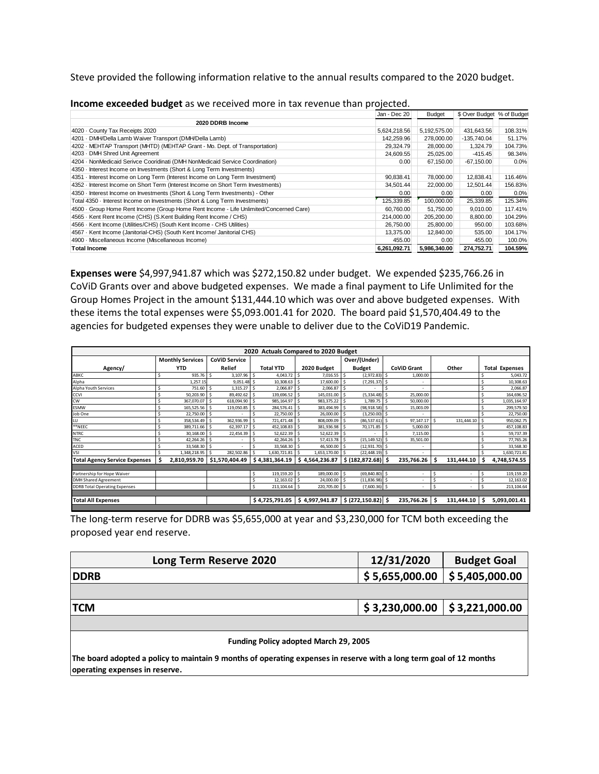Steve provided the following information relative to the annual results compared to the 2020 budget.

|                                                                                        | Jan - Dec 20 | Budget       | \$ Over Budget % of Budget |         |
|----------------------------------------------------------------------------------------|--------------|--------------|----------------------------|---------|
| 2020 DDRB Income                                                                       |              |              |                            |         |
| 4020 County Tax Receipts 2020                                                          | 5,624,218.56 | 5,192,575.00 | 431,643.56                 | 108.31% |
| 4201 · DMH/Della Lamb Waiver Transport (DMH/Della Lamb)                                | 142,259.96   | 278,000.00   | $-135,740.04$              | 51.17%  |
| 4202 - MEHTAP Transport (MHTD) (MEHTAP Grant - Mo. Dept. of Transportation)            | 29,324.79    | 28,000.00    | 1,324.79                   | 104.73% |
| 4203 - DMH Shred Unit Agreement                                                        | 24,609.55    | 25,025.00    | $-415.45$                  | 98.34%  |
| 4204 - NonMedicaid Serivce Cooridinati (DMH NonMedicaid Service Coordination)          | 0.00         | 67,150.00    | $-67,150.00$               | 0.0%    |
| 4350 - Interest Income on Investments (Short & Long Term Investments)                  |              |              |                            |         |
| 4351 - Interest Income on Long Term (Interest Income on Long Term Investment)          | 90,838.41    | 78,000.00    | 12,838.41                  | 116.46% |
| 4352 - Interest Income on Short Term (Interest Income on Short Term Investments)       | 34,501.44    | 22,000.00    | 12,501.44                  | 156.83% |
| 4350 - Interest Income on Investments (Short & Long Term Investments) - Other          | 0.00         | 0.00         | 0.00                       | 0.0%    |
| Total 4350 · Interest Income on Investments (Short & Long Term Investments)            | 125,339.85   | 100,000.00   | 25,339.85                  | 125.34% |
| 4500 · Group Home Rent Income (Group Home Rent Income - Life Unlimited/Concerned Care) | 60,760.00    | 51,750.00    | 9,010.00                   | 117.41% |
| 4565 · Kent Rent Income (CHS) (S.Kent Building Rent Income / CHS)                      | 214,000.00   | 205,200.00   | 8,800.00                   | 104.29% |
| 4566 - Kent Income (Utilities/CHS) (South Kent Income - CHS Utilities)                 | 26,750.00    | 25,800.00    | 950.00                     | 103.68% |
| 4567 · Kent Income (Janitorial-CHS) (South Kent Income/ Janitorial CHS)                | 13,375.00    | 12,840.00    | 535.00                     | 104.17% |
| 4900 · Miscellaneous Income (Miscellaneous Income)                                     | 455.00       | 0.00         | 455.00                     | 100.0%  |
| <b>Total Income</b>                                                                    | 6,261,092.71 | 5,986,340.00 | 274.752.71                 | 104.59% |

| Income exceeded budget as we received more in tax revenue than projected. |  |  |
|---------------------------------------------------------------------------|--|--|
|---------------------------------------------------------------------------|--|--|

**Expenses were** \$4,997,941.87 which was \$272,150.82 under budget. We expended \$235,766.26 in CoViD Grants over and above budgeted expenses. We made a final payment to Life Unlimited for the Group Homes Project in the amount \$131,444.10 which was over and above budgeted expenses. With these items the total expenses were \$5,093.001.41 for 2020. The board paid \$1,570,404.49 to the agencies for budgeted expenses they were unable to deliver due to the CoViD19 Pandemic.

| 2020 Actuals Compared to 2020 Budget |                                                                                                   |                         |     |                      |   |                  |    |                                                    |    |                     |                          |     |            |     |                       |
|--------------------------------------|---------------------------------------------------------------------------------------------------|-------------------------|-----|----------------------|---|------------------|----|----------------------------------------------------|----|---------------------|--------------------------|-----|------------|-----|-----------------------|
|                                      |                                                                                                   | <b>Monthly Services</b> |     | <b>CoViD Service</b> |   |                  |    |                                                    |    | Over/(Under)        |                          |     |            |     |                       |
| Agency/                              |                                                                                                   | <b>YTD</b>              |     | Relief               |   | <b>Total YTD</b> |    | 2020 Budget                                        |    | <b>Budget</b>       | <b>CoViD Grant</b>       |     | Other      |     | <b>Total Expenses</b> |
| ABKC                                 | Ś                                                                                                 | 935.76                  |     | 3.107.96             |   | 4,043.72         |    | $7,016.55$ \$                                      |    | $(2,972.83)$ \$     | 1,000.00                 |     |            |     | 5.043.72              |
| Alpha                                |                                                                                                   | 1.257.15                |     | 9.051.48             |   | 10.308.63        |    | 17,600.00                                          |    | (7, 291.37)         |                          |     |            |     | 10.308.63             |
| Alpha Youth Services                 |                                                                                                   | 751.60 \$               |     | 1,315.27             |   | 2,066.87         |    | 2,066.87                                           |    |                     | $\overline{\phantom{a}}$ |     |            |     | 2,066.87              |
| CCVI                                 |                                                                                                   | 50,203.90               |     | 89,492.62            |   | 139,696.52       |    | 145,031.00                                         |    | (5,334.48)          | 25,000.00                |     |            |     | 164,696.52            |
| <b>CW</b>                            | Ś                                                                                                 | 367,070.07              | l S | 618,094.90           |   | 985,164.97       | Ś  | 983,375.22                                         | Ŝ  | 1,789.75 \$         | 50.000.00                |     |            |     | 1,035,164.97          |
| <b>ESMW</b>                          |                                                                                                   | 165,525.56              |     | 119,050.85           |   | 284,576.41       | Š. | 383.494.99                                         |    | $(98, 918.58)$ \$   | 15,003.09                |     |            |     | 299,579.50            |
| Job One                              |                                                                                                   | 22,750.00 \$            |     |                      |   | 22,750.00        | S  | 26,000.00                                          |    | $(3,250.00)$ \$     |                          |     |            |     | 22,750.00             |
| LU                                   | Ś                                                                                                 | 358.534.49              | -Ś  | 362.936.99           |   | 721.471.48       |    | 808.009.09                                         | \$ | $(86, 537.61)$ \$   | 97.147.17                |     | 131.444.10 | Ś   | 950,062.75            |
| **NEEC                               | Ś                                                                                                 | 389,711.66 \$           |     | 62,397.17            |   | 452,108.83       |    | 381,936.98                                         |    | 70,171.85           | 5,000.00                 |     |            |     | 457,108.83            |
| <b>NTRC</b>                          |                                                                                                   | $30,168.00$ \$          |     | 22,454.39            |   | 52,622.39        |    | 52,622.39                                          | .s |                     | 7,115.00                 |     |            |     | 59,737.39             |
| <b>TNC</b>                           | Ś                                                                                                 | 42.264.26               | .s  |                      |   | 42,264.26        |    | 57,413.78                                          | \$ | (15, 149.52)        | 35,501.00                |     |            |     | 77,765.26             |
| ACED                                 | Ś                                                                                                 | 33,568.30               | 15  |                      |   | 33,568.30        |    | 46,500.00                                          | Ŝ. | $(12, 931.70)$ \$   |                          |     |            |     | 33,568.30             |
| <b>VSI</b>                           |                                                                                                   | 1,348,218.95            |     | 282,502.86           |   | 1,630,721.81     |    | 1,653,170.00                                       |    | $(22, 448.19)$ \$   |                          |     |            |     | 1,630,721.81          |
| <b>Total Agency Service Expenses</b> | Ś                                                                                                 | 2,810,959.70            |     | \$1,570,404.49       |   | \$4,381,364.19   | Ś. | 4,564,236.87                                       |    | \$ (182, 872.68) \$ | 235,766.26               | Ŝ.  | 131,444.10 | \$. | 4,748,574.55          |
|                                      |                                                                                                   |                         |     |                      |   |                  |    |                                                    |    |                     |                          |     |            |     |                       |
| Partnership for Hope Waiver          |                                                                                                   |                         |     |                      |   | 119,159.20       | Ś  | 189,000.00                                         | Ŝ  | $(69, 840.80)$ \$   |                          | .\$ |            | Ś   | 119,159.20            |
| <b>DMH Shared Agreement</b>          |                                                                                                   |                         |     |                      | Ś | 12,163.02        | Š. | 24,000.00 \$                                       |    | $(11, 836.98)$ \$   | $\sim$                   | Ś.  | ٠          |     | 12,163.02             |
| <b>DDRB Total Operating Expenses</b> |                                                                                                   |                         |     |                      |   | 213,104.64       | .s | 220,705.00 \$                                      |    | $(7,600.36)$ \$     |                          |     |            |     | 213,104.64            |
| <b>Total All Expenses</b>            |                                                                                                   |                         |     |                      |   | \$4,725,791.05   |    | $\vert$ \$ 4,997,941.87 $\vert$ \$ (272,150.82) \$ |    |                     | $235,766.26$ \$          |     | 131,444.10 | \$. | 5,093,001.41          |
|                                      |                                                                                                   |                         |     |                      |   |                  |    |                                                    |    |                     |                          |     |            |     |                       |
|                                      | The long-term reserve for DDRB was \$5,655,000 at year and \$3,230,000 for TCM both exceeding the |                         |     |                      |   |                  |    |                                                    |    |                     |                          |     |            |     |                       |

proposed year end reserve.

| Long Term Reserve 2020                       | 12/31/2020     | <b>Budget Goal</b>           |
|----------------------------------------------|----------------|------------------------------|
| <b>DDRB</b>                                  | \$5,655,000.00 | \$5,405,000.00               |
|                                              |                |                              |
| <b>TCM</b>                                   | \$3,230,000.00 | $\frac{1}{2}$ \$3,221,000.00 |
|                                              |                |                              |
| <b>Funding Policy adopted March 29, 2005</b> |                |                              |

**The board adopted a policy to maintain 9 months of operating expenses in reserve with a long term goal of 12 months operating expenses in reserve.**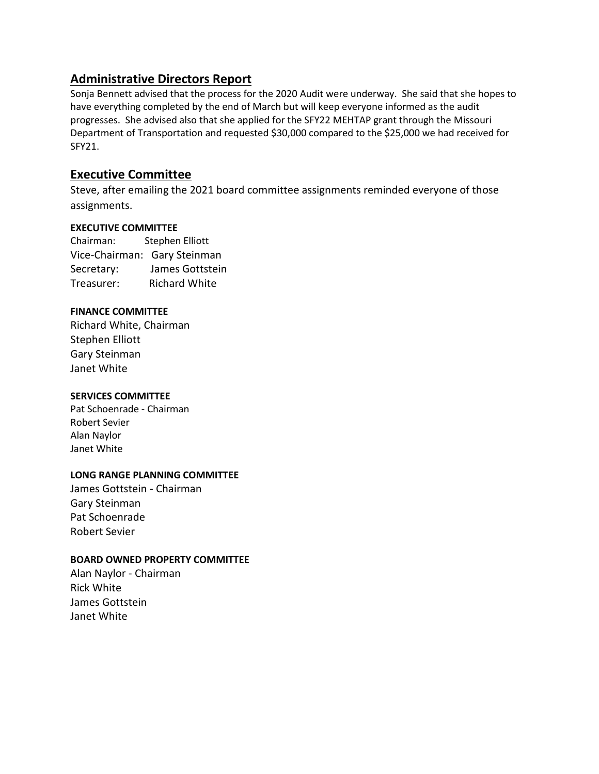### **Administrative Directors Report**

Sonja Bennett advised that the process for the 2020 Audit were underway. She said that she hopes to have everything completed by the end of March but will keep everyone informed as the audit progresses. She advised also that she applied for the SFY22 MEHTAP grant through the Missouri Department of Transportation and requested \$30,000 compared to the \$25,000 we had received for SFY21.

### **Executive Committee**

Steve, after emailing the 2021 board committee assignments reminded everyone of those assignments.

#### **EXECUTIVE COMMITTEE**

Chairman: Stephen Elliott Vice-Chairman: Gary Steinman Secretary: James Gottstein Treasurer: Richard White

#### **FINANCE COMMITTEE**

Richard White, Chairman Stephen Elliott Gary Steinman Janet White

#### **SERVICES COMMITTEE**

Pat Schoenrade - Chairman Robert Sevier Alan Naylor Janet White

#### **LONG RANGE PLANNING COMMITTEE**

James Gottstein - Chairman Gary Steinman Pat Schoenrade Robert Sevier

### **BOARD OWNED PROPERTY COMMITTEE**

Alan Naylor - Chairman Rick White James Gottstein Janet White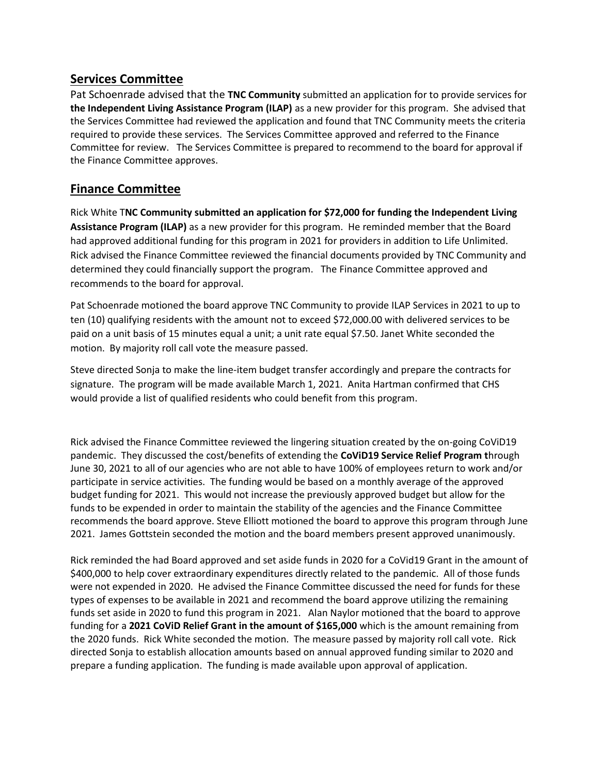### **Services Committee**

Pat Schoenrade advised that the **TNC Community** submitted an application for to provide services for **the Independent Living Assistance Program (ILAP)** as a new provider for this program. She advised that the Services Committee had reviewed the application and found that TNC Community meets the criteria required to provide these services. The Services Committee approved and referred to the Finance Committee for review. The Services Committee is prepared to recommend to the board for approval if the Finance Committee approves.

### **Finance Committee**

Rick White T**NC Community submitted an application for \$72,000 for funding the Independent Living Assistance Program (ILAP)** as a new provider for this program. He reminded member that the Board had approved additional funding for this program in 2021 for providers in addition to Life Unlimited. Rick advised the Finance Committee reviewed the financial documents provided by TNC Community and determined they could financially support the program. The Finance Committee approved and recommends to the board for approval.

Pat Schoenrade motioned the board approve TNC Community to provide ILAP Services in 2021 to up to ten (10) qualifying residents with the amount not to exceed \$72,000.00 with delivered services to be paid on a unit basis of 15 minutes equal a unit; a unit rate equal \$7.50. Janet White seconded the motion. By majority roll call vote the measure passed.

Steve directed Sonja to make the line-item budget transfer accordingly and prepare the contracts for signature. The program will be made available March 1, 2021. Anita Hartman confirmed that CHS would provide a list of qualified residents who could benefit from this program.

Rick advised the Finance Committee reviewed the lingering situation created by the on-going CoViD19 pandemic. They discussed the cost/benefits of extending the **CoViD19 Service Relief Program t**hrough June 30, 2021 to all of our agencies who are not able to have 100% of employees return to work and/or participate in service activities. The funding would be based on a monthly average of the approved budget funding for 2021. This would not increase the previously approved budget but allow for the funds to be expended in order to maintain the stability of the agencies and the Finance Committee recommends the board approve. Steve Elliott motioned the board to approve this program through June 2021. James Gottstein seconded the motion and the board members present approved unanimously.

Rick reminded the had Board approved and set aside funds in 2020 for a CoVid19 Grant in the amount of \$400,000 to help cover extraordinary expenditures directly related to the pandemic. All of those funds were not expended in 2020. He advised the Finance Committee discussed the need for funds for these types of expenses to be available in 2021 and recommend the board approve utilizing the remaining funds set aside in 2020 to fund this program in 2021. Alan Naylor motioned that the board to approve funding for a **2021 CoViD Relief Grant in the amount of \$165,000** which is the amount remaining from the 2020 funds. Rick White seconded the motion. The measure passed by majority roll call vote. Rick directed Sonja to establish allocation amounts based on annual approved funding similar to 2020 and prepare a funding application. The funding is made available upon approval of application.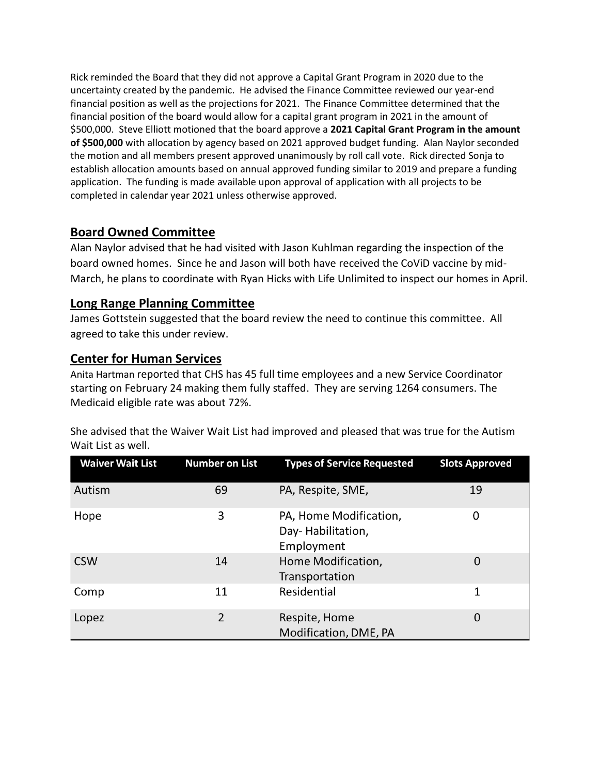Rick reminded the Board that they did not approve a Capital Grant Program in 2020 due to the uncertainty created by the pandemic. He advised the Finance Committee reviewed our year-end financial position as well as the projections for 2021. The Finance Committee determined that the financial position of the board would allow for a capital grant program in 2021 in the amount of \$500,000. Steve Elliott motioned that the board approve a **2021 Capital Grant Program in the amount of \$500,000** with allocation by agency based on 2021 approved budget funding. Alan Naylor seconded the motion and all members present approved unanimously by roll call vote. Rick directed Sonja to establish allocation amounts based on annual approved funding similar to 2019 and prepare a funding application. The funding is made available upon approval of application with all projects to be completed in calendar year 2021 unless otherwise approved.

### **Board Owned Committee**

Alan Naylor advised that he had visited with Jason Kuhlman regarding the inspection of the board owned homes. Since he and Jason will both have received the CoViD vaccine by mid-March, he plans to coordinate with Ryan Hicks with Life Unlimited to inspect our homes in April.

### **Long Range Planning Committee**

James Gottstein suggested that the board review the need to continue this committee. All agreed to take this under review.

## **Center for Human Services**

Anita Hartman reported that CHS has 45 full time employees and a new Service Coordinator starting on February 24 making them fully staffed. They are serving 1264 consumers. The Medicaid eligible rate was about 72%.

| <b>Waiver Wait List</b> | <b>Number on List</b> | <b>Types of Service Requested</b>                         | <b>Slots Approved</b> |
|-------------------------|-----------------------|-----------------------------------------------------------|-----------------------|
| Autism                  | 69                    | PA, Respite, SME,                                         | 19                    |
| Hope                    | 3                     | PA, Home Modification,<br>Day-Habilitation,<br>Employment | 0                     |
| <b>CSW</b>              | 14                    | Home Modification,<br>Transportation                      | 0                     |
| Comp                    | 11                    | Residential                                               | 1                     |
| Lopez                   | 2                     | Respite, Home<br>Modification, DME, PA                    | 0                     |

She advised that the Waiver Wait List had improved and pleased that was true for the Autism Wait List as well.